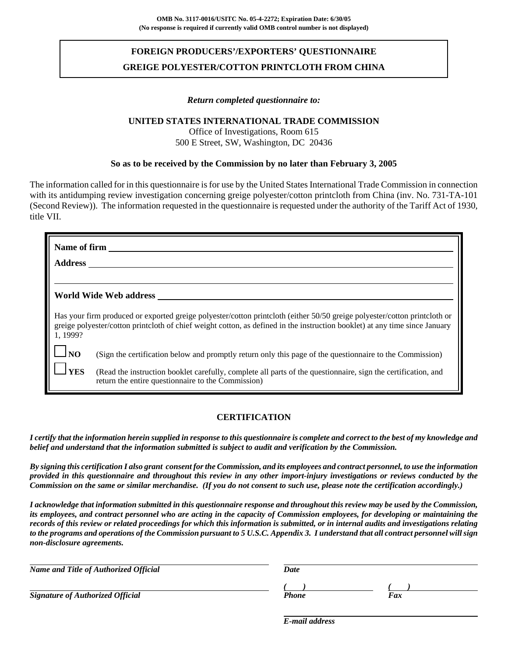# **FOREIGN PRODUCERS'/EXPORTERS' QUESTIONNAIRE GREIGE POLYESTER/COTTON PRINTCLOTH FROM CHINA**

#### *Return completed questionnaire to:*

#### **UNITED STATES INTERNATIONAL TRADE COMMISSION**

Office of Investigations, Room 615 500 E Street, SW, Washington, DC 20436

#### **So as to be received by the Commission by no later than February 3, 2005**

The information called for in this questionnaire is for use by the United States International Trade Commission in connection with its antidumping review investigation concerning greige polyester/cotton printcloth from China (inv. No. 731-TA-101) (Second Review)). The information requested in the questionnaire is requested under the authority of the Tariff Act of 1930, title VII.

| Name of firm           |                                                                                                                                                                                                                                                          |  |  |  |
|------------------------|----------------------------------------------------------------------------------------------------------------------------------------------------------------------------------------------------------------------------------------------------------|--|--|--|
| <b>Address</b>         |                                                                                                                                                                                                                                                          |  |  |  |
|                        |                                                                                                                                                                                                                                                          |  |  |  |
| World Wide Web address |                                                                                                                                                                                                                                                          |  |  |  |
| 1, 1999?               | Has your firm produced or exported greige polyester/cotton printcloth (either 50/50 greige polyester/cotton printcloth or<br>greige polyester/cotton printcloth of chief weight cotton, as defined in the instruction booklet) at any time since January |  |  |  |
| $\Box$ NO              | (Sign the certification below and promptly return only this page of the questionnaire to the Commission)                                                                                                                                                 |  |  |  |
| <b>YES</b>             | (Read the instruction booklet carefully, complete all parts of the questionnaire, sign the certification, and<br>return the entire questionnaire to the Commission)                                                                                      |  |  |  |

### **CERTIFICATION**

*I certify that the information herein supplied in response to this questionnaire is complete and correct to the best of my knowledge and belief and understand that the information submitted is subject to audit and verification by the Commission.*

*By signing this certification I also grant consent for the Commission, and its employees and contract personnel, to use the information provided in this questionnaire and throughout this review in any other import-injury investigations or reviews conducted by the Commission on the same or similar merchandise. (If you do not consent to such use, please note the certification accordingly.)*

*I acknowledge that information submitted in this questionnaire response and throughout this review may be used by the Commission, its employees, and contract personnel who are acting in the capacity of Commission employees, for developing or maintaining the records of this review or related proceedings for which this information is submitted, or in internal audits and investigations relating to the programs and operations of the Commission pursuant to 5 U.S.C. Appendix 3. I understand that all contract personnel will sign non-disclosure agreements.*

| Name and Title of Authorized Official   | Date  |     |
|-----------------------------------------|-------|-----|
|                                         |       |     |
| <b>Signature of Authorized Official</b> | Phone | Fax |

*E-mail address*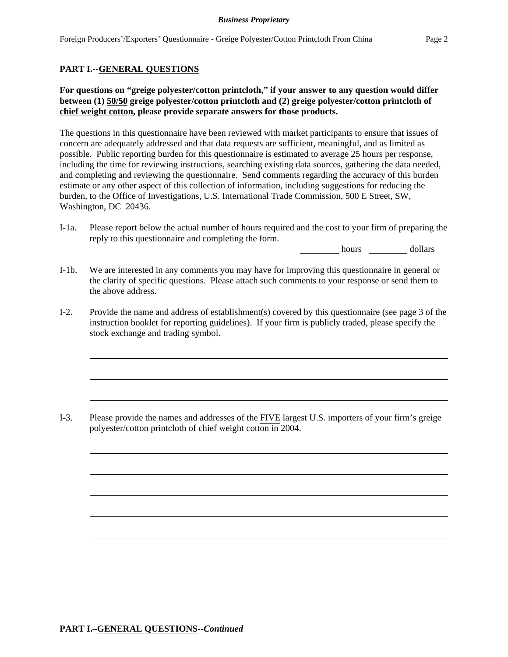### **PART I.--GENERAL QUESTIONS**

### **For questions on "greige polyester/cotton printcloth," if your answer to any question would differ between (1) 50/50 greige polyester/cotton printcloth and (2) greige polyester/cotton printcloth of chief weight cotton, please provide separate answers for those products.**

The questions in this questionnaire have been reviewed with market participants to ensure that issues of concern are adequately addressed and that data requests are sufficient, meaningful, and as limited as possible. Public reporting burden for this questionnaire is estimated to average 25 hours per response, including the time for reviewing instructions, searching existing data sources, gathering the data needed, and completing and reviewing the questionnaire. Send comments regarding the accuracy of this burden estimate or any other aspect of this collection of information, including suggestions for reducing the burden, to the Office of Investigations, U.S. International Trade Commission, 500 E Street, SW, Washington, DC 20436.

I-1a. Please report below the actual number of hours required and the cost to your firm of preparing the reply to this questionnaire and completing the form.

hours dollars

- I-1b. We are interested in any comments you may have for improving this questionnaire in general or the clarity of specific questions. Please attach such comments to your response or send them to the above address.
- I-2. Provide the name and address of establishment(s) covered by this questionnaire (see page 3 of the instruction booklet for reporting guidelines). If your firm is publicly traded, please specify the stock exchange and trading symbol.

I-3. Please provide the names and addresses of the FIVE largest U.S. importers of your firm's greige polyester/cotton printcloth of chief weight cotton in 2004.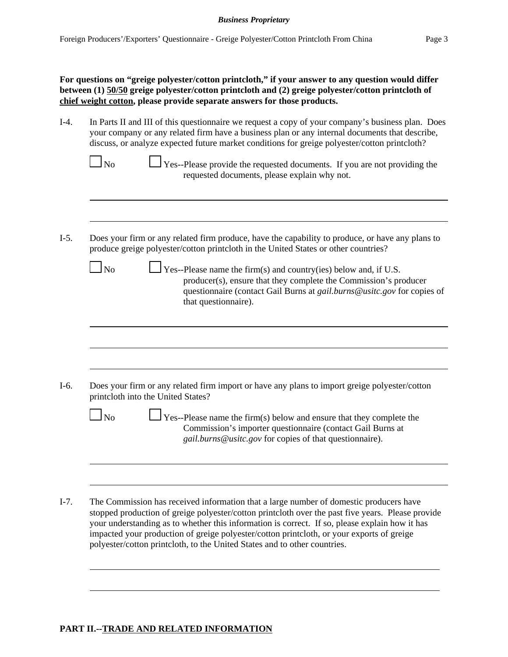I-4. In Parts II and III of this questionnaire we request a copy of your company's business plan. Does your company or any related firm have a business plan or any internal documents that describe, discuss, or analyze expected future market conditions for greige polyester/cotton printcloth?

| $\Box$ No | $\Box$ Yes--Please provide the requested documents. If you are not providing the |  |
|-----------|----------------------------------------------------------------------------------|--|
|           | requested documents, please explain why not.                                     |  |

I-5. Does your firm or any related firm produce, have the capability to produce, or have any plans to produce greige polyester/cotton printcloth in the United States or other countries?

| N <sub>0</sub> | $\perp$ Yes--Please name the firm(s) and country(ies) below and, if U.S.<br>producer(s), ensure that they complete the Commission's producer<br>questionnaire (contact Gail Burns at <i>gail.burns@usitc.gov</i> for copies of |
|----------------|--------------------------------------------------------------------------------------------------------------------------------------------------------------------------------------------------------------------------------|
|                | that questionnaire).                                                                                                                                                                                                           |
|                |                                                                                                                                                                                                                                |
|                |                                                                                                                                                                                                                                |

| $\Box$ No | $\Box$ Yes--Please name the firm(s) below and ensure that they complete the |
|-----------|-----------------------------------------------------------------------------|
|           | Commission's importer questionnaire (contact Gail Burns at                  |
|           | <i>gail.burns@usitc.gov</i> for copies of that questionnaire).              |

I-7. The Commission has received information that a large number of domestic producers have stopped production of greige polyester/cotton printcloth over the past five years. Please provide your understanding as to whether this information is correct. If so, please explain how it has impacted your production of greige polyester/cotton printcloth, or your exports of greige polyester/cotton printcloth, to the United States and to other countries.

#### **PART II.--TRADE AND RELATED INFORMATION**

l

 $\overline{\phantom{0}}$ 

 $\blacksquare$ 

l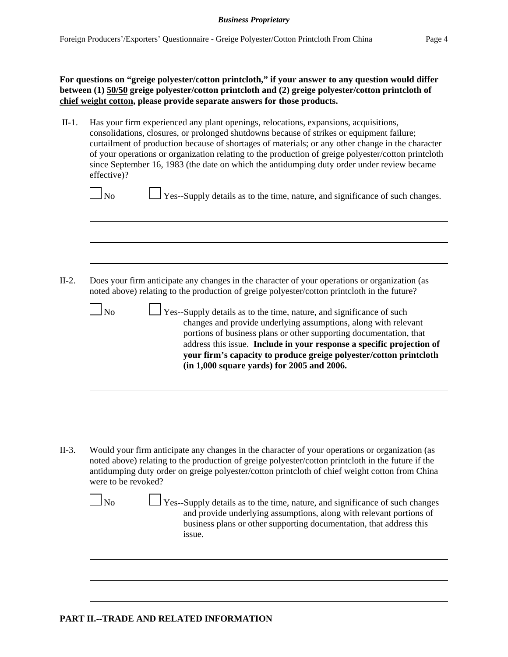II-1. Has your firm experienced any plant openings, relocations, expansions, acquisitions, consolidations, closures, or prolonged shutdowns because of strikes or equipment failure; curtailment of production because of shortages of materials; or any other change in the character of your operations or organization relating to the production of greige polyester/cotton printcloth since September 16, 1983 (the date on which the antidumping duty order under review became effective)?

|  | I |
|--|---|
|--|---|

 $\Box$  Yes--Supply details as to the time, nature, and significance of such changes.

- II-2. Does your firm anticipate any changes in the character of your operations or organization (as noted above) relating to the production of greige polyester/cotton printcloth in the future?
	- $\Box$  No  $\Box$  Yes--Supply details as to the time, nature, and significance of such changes and provide underlying assumptions, along with relevant portions of business plans or other supporting documentation, that address this issue. **Include in your response a specific projection of your firm's capacity to produce greige polyester/cotton printcloth (in 1,000 square yards) for 2005 and 2006.**

II-3. Would your firm anticipate any changes in the character of your operations or organization (as noted above) relating to the production of greige polyester/cotton printcloth in the future if the antidumping duty order on greige polyester/cotton printcloth of chief weight cotton from China were to be revoked?

| ۰,<br>× |
|---------|
|---------|

 $\perp$  Yes--Supply details as to the time, nature, and significance of such changes and provide underlying assumptions, along with relevant portions of business plans or other supporting documentation, that address this issue.

### **PART II.--TRADE AND RELATED INFORMATION**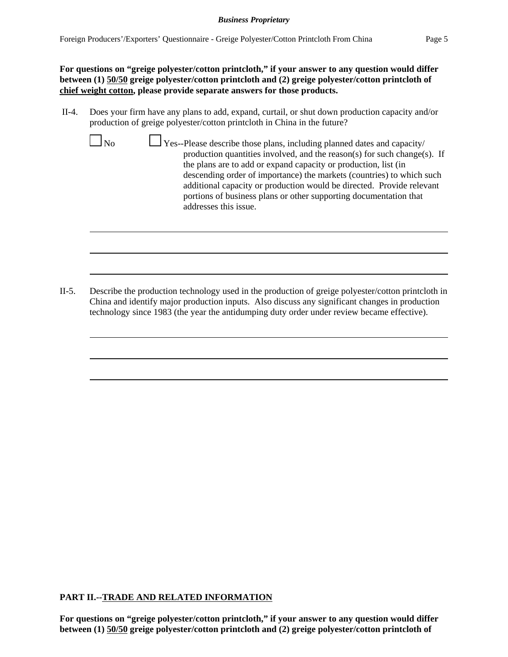**For questions on "greige polyester/cotton printcloth," if your answer to any question would differ between (1) 50/50 greige polyester/cotton printcloth and (2) greige polyester/cotton printcloth of chief weight cotton, please provide separate answers for those products.**

II-4. Does your firm have any plans to add, expand, curtail, or shut down production capacity and/or production of greige polyester/cotton printcloth in China in the future?

|--|--|--|

 $\perp$  Yes--Please describe those plans, including planned dates and capacity/ production quantities involved, and the reason(s) for such change(s). If the plans are to add or expand capacity or production, list (in descending order of importance) the markets (countries) to which such additional capacity or production would be directed. Provide relevant portions of business plans or other supporting documentation that addresses this issue.

II-5. Describe the production technology used in the production of greige polyester/cotton printcloth in China and identify major production inputs. Also discuss any significant changes in production technology since 1983 (the year the antidumping duty order under review became effective).

### **PART II.--TRADE AND RELATED INFORMATION**

**For questions on "greige polyester/cotton printcloth," if your answer to any question would differ between (1) 50/50 greige polyester/cotton printcloth and (2) greige polyester/cotton printcloth of**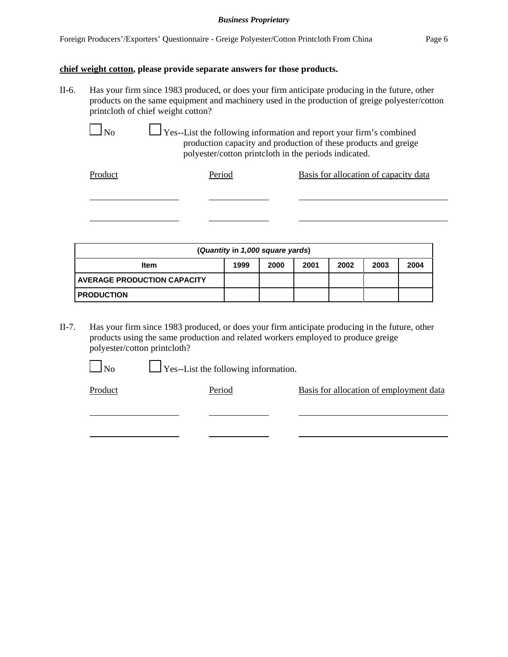#### **chief weight cotton, please provide separate answers for those products.**

II-6. Has your firm since 1983 produced, or does your firm anticipate producing in the future, other products on the same equipment and machinery used in the production of greige polyester/cotton printcloth of chief weight cotton?

 $\Box$  No  $\Box$  Yes--List the following information and report your firm's combined production capacity and production of these products and greige polyester/cotton printcloth in the periods indicated.

| Product | Period | Basis for allocation of capacity data |
|---------|--------|---------------------------------------|
|         |        |                                       |
|         |        |                                       |
|         |        |                                       |

| (Quantity in 1,000 square yards)   |      |      |      |      |      |      |  |
|------------------------------------|------|------|------|------|------|------|--|
| Item                               | 1999 | 2000 | 2001 | 2002 | 2003 | 2004 |  |
| <b>AVERAGE PRODUCTION CAPACITY</b> |      |      |      |      |      |      |  |
| <b>PRODUCTION</b>                  |      |      |      |      |      |      |  |

II-7. Has your firm since 1983 produced, or does your firm anticipate producing in the future, other products using the same production and related workers employed to produce greige polyester/cotton printcloth?

 $\Box$  No  $\Box$  Yes--List the following information.

Product Period Period Basis for allocation of employment data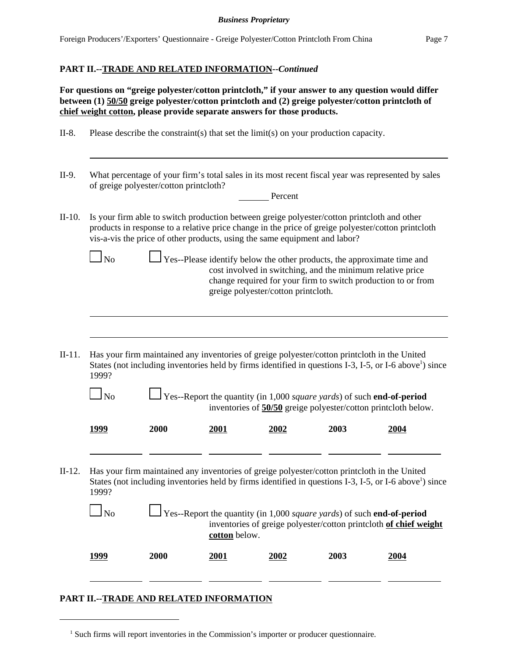### **PART II.--TRADE AND RELATED INFORMATION--***Continued*

**For questions on "greige polyester/cotton printcloth," if your answer to any question would differ between (1) 50/50 greige polyester/cotton printcloth and (2) greige polyester/cotton printcloth of chief weight cotton, please provide separate answers for those products.**

- II-8. Please describe the constraint(s) that set the limit(s) on your production capacity.
- II-9. What percentage of your firm's total sales in its most recent fiscal year was represented by sales of greige polyester/cotton printcloth?

| II-10. Is your firm able to switch production between greige polyester/cotton printcloth and other |
|----------------------------------------------------------------------------------------------------|
| products in response to a relative price change in the price of greige polyester/cotton printcloth |
| vis-a-vis the price of other products, using the same equipment and labor?                         |

 $\Box$  No  $\Box$  Yes--Please identify below the other products, the approximate time and cost involved in switching, and the minimum relative price change required for your firm to switch production to or from greige polyester/cotton printcloth.

Percent

II-11. Has your firm maintained any inventories of greige polyester/cotton printcloth in the United States (not including inventories held by firms identified in questions I-3, I-5, or I-6 above<sup>1</sup>) since 1999?

l

l

 No Yes--Report the quantity (in 1,000 *square yards*) of such **end-of-period** inventories of **50/50** greige polyester/cotton printcloth below.

| 1999 | <b>2000</b> | 2001<br><u> The Communication of the Communication of the Communication of the Communication of the Communication of the Communication of the Communication of the Communication of the Communication of the Communication of the Commun</u> | 2002 | 2003 | 2004<br>and the contract of the contract of |
|------|-------------|----------------------------------------------------------------------------------------------------------------------------------------------------------------------------------------------------------------------------------------------|------|------|---------------------------------------------|
|      |             |                                                                                                                                                                                                                                              |      |      |                                             |

II-12. Has your firm maintained any inventories of greige polyester/cotton printcloth in the United States (not including inventories held by firms identified in questions I-3, I-5, or I-6 above<sup>1</sup>) since 1999?

**1999 2000 2001 2002 2003 2004**

| N <sub>0</sub> | $\Box$ Yes--Report the quantity (in 1,000 <i>square yards</i> ) of such <b>end-of-period</b> |
|----------------|----------------------------------------------------------------------------------------------|
|                | inventories of greige polyester/cotton printcloth of chief weight                            |
|                | cotton below.                                                                                |
|                |                                                                                              |

# **PART II.--TRADE AND RELATED INFORMATION**

<sup>&</sup>lt;sup>1</sup> Such firms will report inventories in the Commission's importer or producer questionnaire.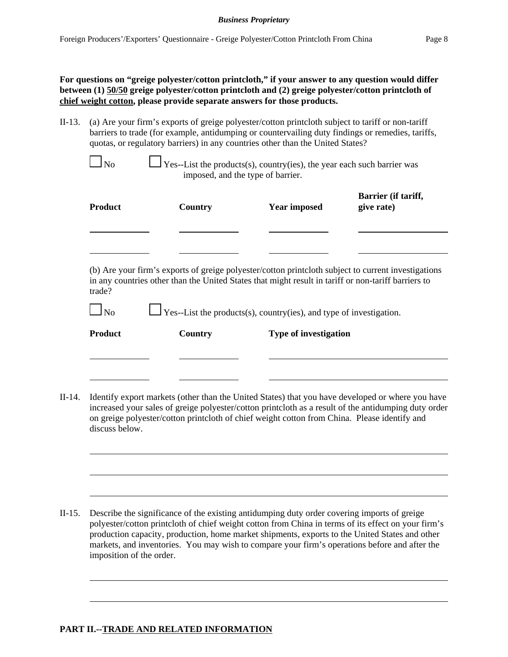II-13. (a) Are your firm's exports of greige polyester/cotton printcloth subject to tariff or non-tariff barriers to trade (for example, antidumping or countervailing duty findings or remedies, tariffs, quotas, or regulatory barriers) in any countries other than the United States?

 $\perp$  Yes--List the products(s), country(ies), the year each such barrier was imposed, and the type of barrier.

| <b>Product</b> | Country | <b>Year imposed</b>                                                                                 | Barrier (if tariff,<br>give rate)                                                                   |  |  |
|----------------|---------|-----------------------------------------------------------------------------------------------------|-----------------------------------------------------------------------------------------------------|--|--|
|                |         |                                                                                                     |                                                                                                     |  |  |
| trade?         |         | in any countries other than the United States that might result in tariff or non-tariff barriers to | (b) Are your firm's exports of greige polyester/cotton printcloth subject to current investigations |  |  |
| N <sub>0</sub> |         | $\Box$ Yes--List the products(s), country(ies), and type of investigation.                          |                                                                                                     |  |  |
| <b>Product</b> | Country | <b>Type of investigation</b>                                                                        |                                                                                                     |  |  |
|                |         |                                                                                                     |                                                                                                     |  |  |
|                |         |                                                                                                     |                                                                                                     |  |  |
|                |         |                                                                                                     |                                                                                                     |  |  |

II-14. Identify export markets (other than the United States) that you have developed or where you have increased your sales of greige polyester/cotton printcloth as a result of the antidumping duty order on greige polyester/cotton printcloth of chief weight cotton from China. Please identify and discuss below.

II-15. Describe the significance of the existing antidumping duty order covering imports of greige polyester/cotton printcloth of chief weight cotton from China in terms of its effect on your firm's production capacity, production, home market shipments, exports to the United States and other markets, and inventories. You may wish to compare your firm's operations before and after the imposition of the order.

### **PART II.--TRADE AND RELATED INFORMATION**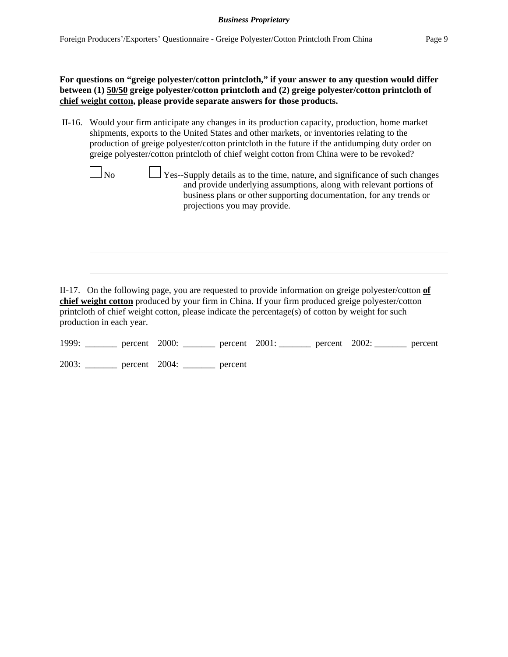II-16. Would your firm anticipate any changes in its production capacity, production, home market shipments, exports to the United States and other markets, or inventories relating to the production of greige polyester/cotton printcloth in the future if the antidumping duty order on greige polyester/cotton printcloth of chief weight cotton from China were to be revoked?

| No | Yes--Supply details as to the time, nature, and significance of such changes<br>and provide underlying assumptions, along with relevant portions of<br>business plans or other supporting documentation, for any trends or<br>projections you may provide. |
|----|------------------------------------------------------------------------------------------------------------------------------------------------------------------------------------------------------------------------------------------------------------|
|    |                                                                                                                                                                                                                                                            |

II-17. On the following page, you are requested to provide information on greige polyester/cotton **of chief weight cotton** produced by your firm in China. If your firm produced greige polyester/cotton printcloth of chief weight cotton, please indicate the percentage(s) of cotton by weight for such production in each year.

|  | 1999: <u>_______</u> percent 2000: ________ percent 2001: _______ percent 2002: _______ percent |  |  |  |
|--|-------------------------------------------------------------------------------------------------|--|--|--|
|  | 2003: ________ percent 2004: ______ percent                                                     |  |  |  |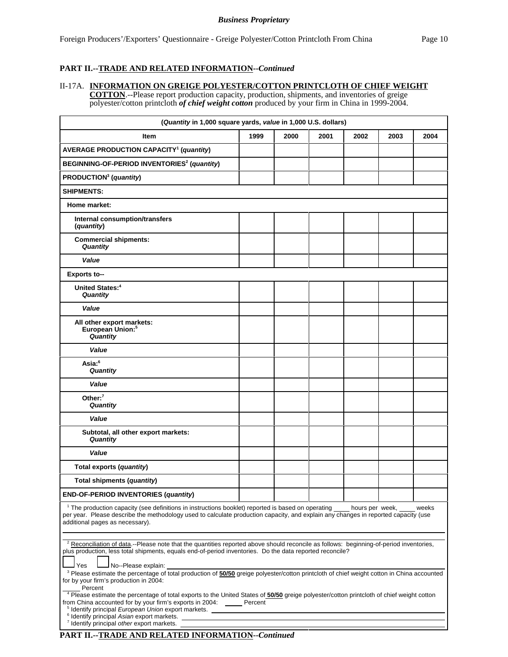#### **PART II.--TRADE AND RELATED INFORMATION--***Continued*

#### II-17A. **INFORMATION ON GREIGE POLYESTER/COTTON PRINTCLOTH OF CHIEF WEIGHT**

**COTTON**.--Please report production capacity, production, shipments, and inventories of greige polyester/cotton printcloth *of chief weight cotton* produced by your firm in China in 1999-2004.

| (Quantity in 1,000 square yards, value in 1,000 U.S. dollars)                                                                                                                                                                                                                                                                                                                                                                                 |      |      |      |      |      |      |
|-----------------------------------------------------------------------------------------------------------------------------------------------------------------------------------------------------------------------------------------------------------------------------------------------------------------------------------------------------------------------------------------------------------------------------------------------|------|------|------|------|------|------|
| Item                                                                                                                                                                                                                                                                                                                                                                                                                                          | 1999 | 2000 | 2001 | 2002 | 2003 | 2004 |
| <b>AVERAGE PRODUCTION CAPACITY<sup>1</sup> (quantity)</b>                                                                                                                                                                                                                                                                                                                                                                                     |      |      |      |      |      |      |
| BEGINNING-OF-PERIOD INVENTORIES <sup>2</sup> (quantity)                                                                                                                                                                                                                                                                                                                                                                                       |      |      |      |      |      |      |
| PRODUCTION <sup>3</sup> (quantity)                                                                                                                                                                                                                                                                                                                                                                                                            |      |      |      |      |      |      |
| <b>SHIPMENTS:</b>                                                                                                                                                                                                                                                                                                                                                                                                                             |      |      |      |      |      |      |
| Home market:                                                                                                                                                                                                                                                                                                                                                                                                                                  |      |      |      |      |      |      |
| Internal consumption/transfers<br>(quantity)                                                                                                                                                                                                                                                                                                                                                                                                  |      |      |      |      |      |      |
| <b>Commercial shipments:</b><br>Quantity                                                                                                                                                                                                                                                                                                                                                                                                      |      |      |      |      |      |      |
| Value                                                                                                                                                                                                                                                                                                                                                                                                                                         |      |      |      |      |      |      |
| <b>Exports to--</b>                                                                                                                                                                                                                                                                                                                                                                                                                           |      |      |      |      |      |      |
| <b>United States:</b> <sup>4</sup><br>Quantity                                                                                                                                                                                                                                                                                                                                                                                                |      |      |      |      |      |      |
| Value                                                                                                                                                                                                                                                                                                                                                                                                                                         |      |      |      |      |      |      |
| All other export markets:<br>European Union: <sup>5</sup><br>Quantity                                                                                                                                                                                                                                                                                                                                                                         |      |      |      |      |      |      |
| Value                                                                                                                                                                                                                                                                                                                                                                                                                                         |      |      |      |      |      |      |
| Asia: <sup>6</sup><br>Quantity                                                                                                                                                                                                                                                                                                                                                                                                                |      |      |      |      |      |      |
| Value                                                                                                                                                                                                                                                                                                                                                                                                                                         |      |      |      |      |      |      |
| Other: $7$<br>Quantity                                                                                                                                                                                                                                                                                                                                                                                                                        |      |      |      |      |      |      |
| Value                                                                                                                                                                                                                                                                                                                                                                                                                                         |      |      |      |      |      |      |
| Subtotal, all other export markets:<br>Quantity                                                                                                                                                                                                                                                                                                                                                                                               |      |      |      |      |      |      |
| Value                                                                                                                                                                                                                                                                                                                                                                                                                                         |      |      |      |      |      |      |
| Total exports (quantity)                                                                                                                                                                                                                                                                                                                                                                                                                      |      |      |      |      |      |      |
| Total shipments (quantity)                                                                                                                                                                                                                                                                                                                                                                                                                    |      |      |      |      |      |      |
| END-OF-PERIOD INVENTORIES (quantity)                                                                                                                                                                                                                                                                                                                                                                                                          |      |      |      |      |      |      |
| <sup>1</sup> The production capacity (see definitions in instructions booklet) reported is based on operating ____ hours per week,<br>weeks<br>per year. Please describe the methodology used to calculate production capacity, and explain any changes in reported capacity (use<br>additional pages as necessary).                                                                                                                          |      |      |      |      |      |      |
| <sup>2</sup> Reconciliation of data.--Please note that the quantities reported above should reconcile as follows: beginning-of-period inventories,<br>plus production, less total shipments, equals end-of-period inventories. Do the data reported reconcile?<br><b>Yes</b><br>No--Please explain:                                                                                                                                           |      |      |      |      |      |      |
| <sup>3</sup> Please estimate the percentage of total production of 50/50 greige polyester/cotton printcloth of chief weight cotton in China accounted<br>for by your firm's production in 2004:<br>Percent<br><sup>4</sup> Please estimate the percentage of total exports to the United States of 50/50 greige polyester/cotton printcloth of chief weight cotton<br>from China accounted for by your firm's exports in 2004: ______ Percent |      |      |      |      |      |      |
| <sup>5</sup> Identify principal European Union export markets.<br><sup>6</sup> Identify principal Asian export markets.<br><sup>7</sup> Identify principal other export markets.                                                                                                                                                                                                                                                              |      |      |      |      |      |      |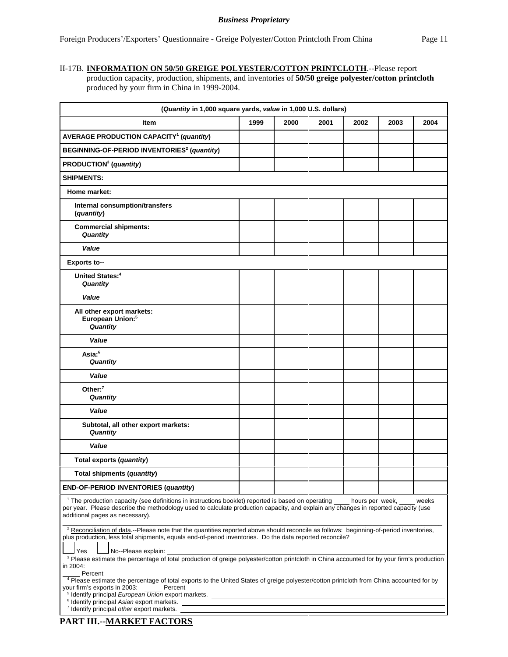### II-17B. **INFORMATION ON 50/50 GREIGE POLYESTER/COTTON PRINTCLOTH**.--Please report

production capacity, production, shipments, and inventories of **50/50 greige polyester/cotton printcloth**  produced by your firm in China in 1999-2004.

| (Quantity in 1,000 square yards, value in 1,000 U.S. dollars)                                                                                                                                                                                                                                                                                                                   |      |      |      |      |      |       |  |
|---------------------------------------------------------------------------------------------------------------------------------------------------------------------------------------------------------------------------------------------------------------------------------------------------------------------------------------------------------------------------------|------|------|------|------|------|-------|--|
| Item                                                                                                                                                                                                                                                                                                                                                                            | 1999 | 2000 | 2001 | 2002 | 2003 | 2004  |  |
| <b>AVERAGE PRODUCTION CAPACITY<sup>1</sup> (quantity)</b>                                                                                                                                                                                                                                                                                                                       |      |      |      |      |      |       |  |
| BEGINNING-OF-PERIOD INVENTORIES <sup>2</sup> (quantity)                                                                                                                                                                                                                                                                                                                         |      |      |      |      |      |       |  |
| PRODUCTION <sup>3</sup> (quantity)                                                                                                                                                                                                                                                                                                                                              |      |      |      |      |      |       |  |
| <b>SHIPMENTS:</b>                                                                                                                                                                                                                                                                                                                                                               |      |      |      |      |      |       |  |
| Home market:                                                                                                                                                                                                                                                                                                                                                                    |      |      |      |      |      |       |  |
| Internal consumption/transfers<br>(quantity)                                                                                                                                                                                                                                                                                                                                    |      |      |      |      |      |       |  |
| <b>Commercial shipments:</b><br>Quantity                                                                                                                                                                                                                                                                                                                                        |      |      |      |      |      |       |  |
| Value                                                                                                                                                                                                                                                                                                                                                                           |      |      |      |      |      |       |  |
| <b>Exports to--</b>                                                                                                                                                                                                                                                                                                                                                             |      |      |      |      |      |       |  |
| <b>United States:</b> <sup>4</sup><br>Quantity                                                                                                                                                                                                                                                                                                                                  |      |      |      |      |      |       |  |
| Value                                                                                                                                                                                                                                                                                                                                                                           |      |      |      |      |      |       |  |
| All other export markets:<br>European Union: <sup>5</sup><br>Quantity                                                                                                                                                                                                                                                                                                           |      |      |      |      |      |       |  |
| Value                                                                                                                                                                                                                                                                                                                                                                           |      |      |      |      |      |       |  |
| Asia: <sup>6</sup><br>Quantity                                                                                                                                                                                                                                                                                                                                                  |      |      |      |      |      |       |  |
| Value                                                                                                                                                                                                                                                                                                                                                                           |      |      |      |      |      |       |  |
| Other: $7$<br>Quantity                                                                                                                                                                                                                                                                                                                                                          |      |      |      |      |      |       |  |
| Value                                                                                                                                                                                                                                                                                                                                                                           |      |      |      |      |      |       |  |
| Subtotal, all other export markets:<br>Quantity                                                                                                                                                                                                                                                                                                                                 |      |      |      |      |      |       |  |
| Value                                                                                                                                                                                                                                                                                                                                                                           |      |      |      |      |      |       |  |
| Total exports (quantity)                                                                                                                                                                                                                                                                                                                                                        |      |      |      |      |      |       |  |
| Total shipments (quantity)                                                                                                                                                                                                                                                                                                                                                      |      |      |      |      |      |       |  |
| END-OF-PERIOD INVENTORIES (quantity)                                                                                                                                                                                                                                                                                                                                            |      |      |      |      |      |       |  |
| <sup>1</sup> The production capacity (see definitions in instructions booklet) reported is based on operating ____ hours per week, ____<br>per year. Please describe the methodology used to calculate production capacity, and explain any changes in reported capacity (use<br>additional pages as necessary).                                                                |      |      |      |      |      | weeks |  |
| <sup>2</sup> Reconciliation of data.--Please note that the quantities reported above should reconcile as follows: beginning-of-period inventories,<br>plus production, less total shipments, equals end-of-period inventories. Do the data reported reconcile?<br>Yes<br>No--Please explain:                                                                                    |      |      |      |      |      |       |  |
| <sup>3</sup> Please estimate the percentage of total production of greige polyester/cotton printcloth in China accounted for by your firm's production<br>in 2004:<br>Percent<br><sup>4</sup> Please estimate the percentage of total exports to the United States of greige polyester/cotton printcloth from China accounted for by<br>your firm's exports in 2003:<br>Percent |      |      |      |      |      |       |  |
| <sup>5</sup> Identify principal <i>European Union</i> export markets.<br><sup>6</sup> Identify principal Asian export markets.                                                                                                                                                                                                                                                  |      |      |      |      |      |       |  |
| <sup>7</sup> Identify principal other export markets.                                                                                                                                                                                                                                                                                                                           |      |      |      |      |      |       |  |

**PART III.--MARKET FACTORS**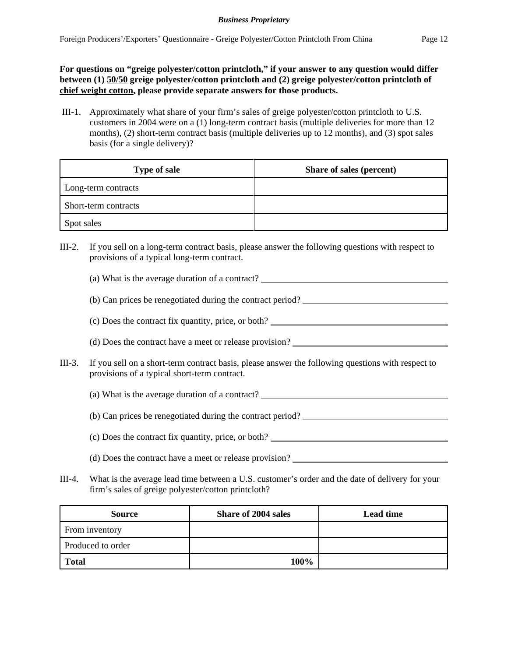**For questions on "greige polyester/cotton printcloth," if your answer to any question would differ between (1) 50/50 greige polyester/cotton printcloth and (2) greige polyester/cotton printcloth of chief weight cotton, please provide separate answers for those products.**

III-1. Approximately what share of your firm's sales of greige polyester/cotton printcloth to U.S. customers in 2004 were on a (1) long-term contract basis (multiple deliveries for more than 12 months), (2) short-term contract basis (multiple deliveries up to 12 months), and (3) spot sales basis (for a single delivery)?

| <b>Type of sale</b>  | Share of sales (percent) |
|----------------------|--------------------------|
| Long-term contracts  |                          |
| Short-term contracts |                          |
| Spot sales           |                          |

- III-2. If you sell on a long-term contract basis, please answer the following questions with respect to provisions of a typical long-term contract.
	- (a) What is the average duration of a contract?
	- (b) Can prices be renegotiated during the contract period?
	- (c) Does the contract fix quantity, price, or both?
	- (d) Does the contract have a meet or release provision?
- III-3. If you sell on a short-term contract basis, please answer the following questions with respect to provisions of a typical short-term contract.
	- (a) What is the average duration of a contract?
	- (b) Can prices be renegotiated during the contract period?
	- (c) Does the contract fix quantity, price, or both?
	- (d) Does the contract have a meet or release provision?
- III-4. What is the average lead time between a U.S. customer's order and the date of delivery for your firm's sales of greige polyester/cotton printcloth?

| <b>Source</b>     | <b>Share of 2004 sales</b> | <b>Lead time</b> |
|-------------------|----------------------------|------------------|
| From inventory    |                            |                  |
| Produced to order |                            |                  |
| <b>Total</b>      | 100%                       |                  |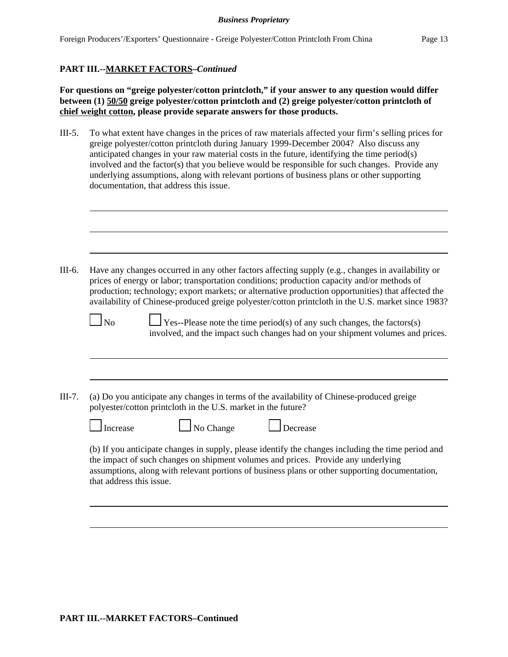#### **PART III.--MARKET FACTORS–***Continued*

**For questions on "greige polyester/cotton printcloth," if your answer to any question would differ between (1) 50/50 greige polyester/cotton printcloth and (2) greige polyester/cotton printcloth of chief weight cotton, please provide separate answers for those products.**

III-5. To what extent have changes in the prices of raw materials affected your firm's selling prices for greige polyester/cotton printcloth during January 1999-December 2004? Also discuss any anticipated changes in your raw material costs in the future, identifying the time period(s) involved and the factor(s) that you believe would be responsible for such changes. Provide any underlying assumptions, along with relevant portions of business plans or other supporting documentation, that address this issue.

| III-6.   | Have any changes occurred in any other factors affecting supply (e.g., changes in availability or<br>prices of energy or labor; transportation conditions; production capacity and/or methods of<br>production; technology; export markets; or alternative production opportunities) that affected the<br>availability of Chinese-produced greige polyester/cotton printcloth in the U.S. market since 1983? |
|----------|--------------------------------------------------------------------------------------------------------------------------------------------------------------------------------------------------------------------------------------------------------------------------------------------------------------------------------------------------------------------------------------------------------------|
|          | $\Box$ Yes--Please note the time period(s) of any such changes, the factors(s)<br>No<br>involved, and the impact such changes had on your shipment volumes and prices.                                                                                                                                                                                                                                       |
| $III-7.$ | (a) Do you anticipate any changes in terms of the availability of Chinese-produced greige                                                                                                                                                                                                                                                                                                                    |
|          | polyester/cotton printcloth in the U.S. market in the future?                                                                                                                                                                                                                                                                                                                                                |
|          | $\Box$ No Change<br>Increase<br>Decrease<br>(b) If you anticipate changes in supply, please identify the changes including the time period and                                                                                                                                                                                                                                                               |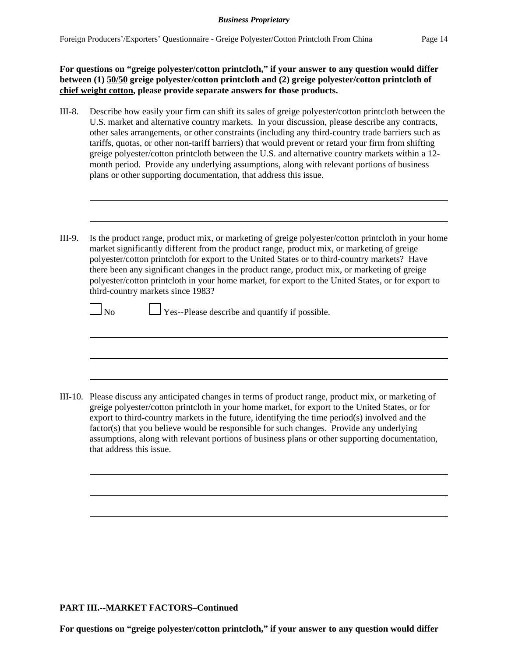**For questions on "greige polyester/cotton printcloth," if your answer to any question would differ between (1) 50/50 greige polyester/cotton printcloth and (2) greige polyester/cotton printcloth of chief weight cotton, please provide separate answers for those products.**

III-8. Describe how easily your firm can shift its sales of greige polyester/cotton printcloth between the U.S. market and alternative country markets. In your discussion, please describe any contracts, other sales arrangements, or other constraints (including any third-country trade barriers such as tariffs, quotas, or other non-tariff barriers) that would prevent or retard your firm from shifting greige polyester/cotton printcloth between the U.S. and alternative country markets within a 12 month period. Provide any underlying assumptions, along with relevant portions of business plans or other supporting documentation, that address this issue.

```
III-9. Is the product range, product mix, or marketing of greige polyester/cotton printcloth in your home
market significantly different from the product range, product mix, or marketing of greige
polyester/cotton printcloth for export to the United States or to third-country markets? Have
there been any significant changes in the product range, product mix, or marketing of greige
polyester/cotton printcloth in your home market, for export to the United States, or for export to
third-country markets since 1983?
```
 $\Box$  No  $\Box$  Yes--Please describe and quantify if possible.

III-10. Please discuss any anticipated changes in terms of product range, product mix, or marketing of greige polyester/cotton printcloth in your home market, for export to the United States, or for export to third-country markets in the future, identifying the time period(s) involved and the factor(s) that you believe would be responsible for such changes. Provide any underlying assumptions, along with relevant portions of business plans or other supporting documentation, that address this issue.

#### **PART III.--MARKET FACTORS–Continued**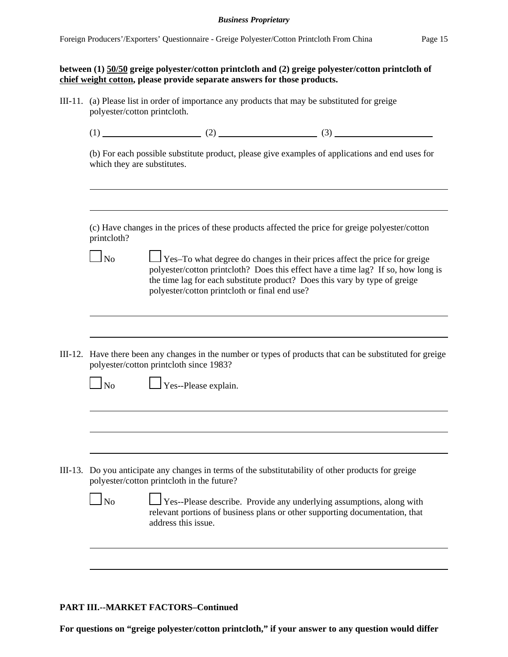## **between (1) 50/50 greige polyester/cotton printcloth and (2) greige polyester/cotton printcloth of chief weight cotton, please provide separate answers for those products.**

III-11. (a) Please list in order of importance any products that may be substituted for greige polyester/cotton printcloth.

|--|--|

(b) For each possible substitute product, please give examples of applications and end uses for which they are substitutes.

| (c) Have changes in the prices of these products affected the price for greige polyester/cotton |  |  |  |  |  |  |
|-------------------------------------------------------------------------------------------------|--|--|--|--|--|--|
| printcloth?                                                                                     |  |  |  |  |  |  |

 $\Box$  No  $\Box$  Yes–To what degree do changes in their prices affect the price for greige polyester/cotton printcloth? Does this effect have a time lag? If so, how long is the time lag for each substitute product? Does this vary by type of greige polyester/cotton printcloth or final end use?

III-12. Have there been any changes in the number or types of products that can be substituted for greige polyester/cotton printcloth since 1983?

| ۰,<br>× |
|---------|
|---------|

 $\perp$  Yes--Please explain.

III-13. Do you anticipate any changes in terms of the substitutability of other products for greige polyester/cotton printcloth in the future?

| N <sub>o</sub> | Yes--Please describe. Provide any underlying assumptions, along with                               |
|----------------|----------------------------------------------------------------------------------------------------|
|                | relevant portions of business plans or other supporting documentation, that<br>address this issue. |

### **PART III.--MARKET FACTORS–Continued**

**For questions on "greige polyester/cotton printcloth," if your answer to any question would differ**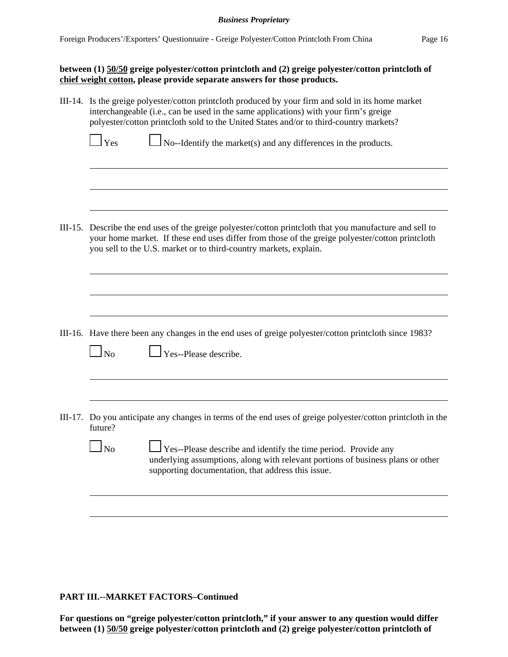### **between (1) 50/50 greige polyester/cotton printcloth and (2) greige polyester/cotton printcloth of chief weight cotton, please provide separate answers for those products.**

| III-14. Is the greige polyester/cotton printcloth produced by your firm and sold in its home market<br>interchangeable (i.e., can be used in the same applications) with your firm's greige<br>polyester/cotton printcloth sold to the United States and/or to third-country markets? |  |  |  |
|---------------------------------------------------------------------------------------------------------------------------------------------------------------------------------------------------------------------------------------------------------------------------------------|--|--|--|
| $\mathbf{\perp}$ Yes<br>$\log$ No--Identify the market(s) and any differences in the products.                                                                                                                                                                                        |  |  |  |
|                                                                                                                                                                                                                                                                                       |  |  |  |
|                                                                                                                                                                                                                                                                                       |  |  |  |
| III-15. Describe the end uses of the greige polyester/cotton printcloth that you manufacture and sell to<br>your home market. If these end uses differ from those of the greige polyester/cotton printcloth<br>you sell to the U.S. market or to third-country markets, explain.      |  |  |  |
|                                                                                                                                                                                                                                                                                       |  |  |  |
|                                                                                                                                                                                                                                                                                       |  |  |  |
| III-16. Have there been any changes in the end uses of greige polyester/cotton printcloth since 1983?                                                                                                                                                                                 |  |  |  |
| Yes--Please describe.<br>$\overline{\text{No}}$                                                                                                                                                                                                                                       |  |  |  |
|                                                                                                                                                                                                                                                                                       |  |  |  |
| III-17. Do you anticipate any changes in terms of the end uses of greige polyester/cotton printcloth in the<br>future?                                                                                                                                                                |  |  |  |
| $\Box$ No<br>$\Box$ Yes--Please describe and identify the time period. Provide any<br>underlying assumptions, along with relevant portions of business plans or other<br>supporting documentation, that address this issue.                                                           |  |  |  |
|                                                                                                                                                                                                                                                                                       |  |  |  |
|                                                                                                                                                                                                                                                                                       |  |  |  |

### **PART III.--MARKET FACTORS–Continued**

**For questions on "greige polyester/cotton printcloth," if your answer to any question would differ between (1) 50/50 greige polyester/cotton printcloth and (2) greige polyester/cotton printcloth of**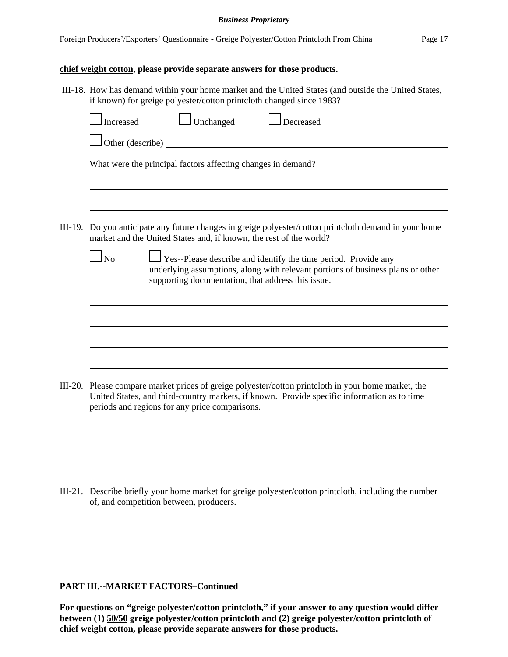III-18. How has demand within your home market and the United States (and outside the United States,

### **chief weight cotton, please provide separate answers for those products.**

| if known) for greige polyester/cotton printcloth changed since 1983?                                                                                                                                                                                 |  |  |  |  |  |
|------------------------------------------------------------------------------------------------------------------------------------------------------------------------------------------------------------------------------------------------------|--|--|--|--|--|
| Unchanged<br>Increased<br>Decreased                                                                                                                                                                                                                  |  |  |  |  |  |
| Other (describe)                                                                                                                                                                                                                                     |  |  |  |  |  |
| What were the principal factors affecting changes in demand?                                                                                                                                                                                         |  |  |  |  |  |
|                                                                                                                                                                                                                                                      |  |  |  |  |  |
| III-19. Do you anticipate any future changes in greige polyester/cotton printcloth demand in your home<br>market and the United States and, if known, the rest of the world?                                                                         |  |  |  |  |  |
| $\Box$ No<br>Yes--Please describe and identify the time period. Provide any<br>underlying assumptions, along with relevant portions of business plans or other<br>supporting documentation, that address this issue.                                 |  |  |  |  |  |
|                                                                                                                                                                                                                                                      |  |  |  |  |  |
|                                                                                                                                                                                                                                                      |  |  |  |  |  |
|                                                                                                                                                                                                                                                      |  |  |  |  |  |
| III-20. Please compare market prices of greige polyester/cotton printcloth in your home market, the<br>United States, and third-country markets, if known. Provide specific information as to time<br>periods and regions for any price comparisons. |  |  |  |  |  |
|                                                                                                                                                                                                                                                      |  |  |  |  |  |
|                                                                                                                                                                                                                                                      |  |  |  |  |  |
| III-21. Describe briefly your home market for greige polyester/cotton printcloth, including the number                                                                                                                                               |  |  |  |  |  |

### **PART III.--MARKET FACTORS–Continued**

of, and competition between, producers.

**For questions on "greige polyester/cotton printcloth," if your answer to any question would differ between (1) 50/50 greige polyester/cotton printcloth and (2) greige polyester/cotton printcloth of chief weight cotton, please provide separate answers for those products.**